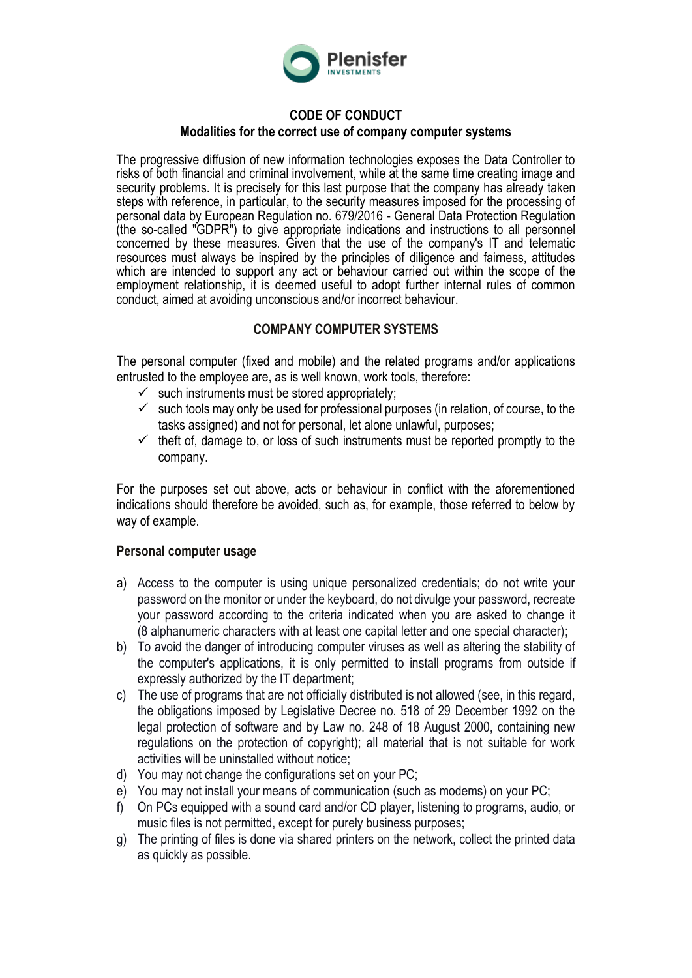

# **CODE OF CONDUCT**

### **Modalities for the correct use of company computer systems**

The progressive diffusion of new information technologies exposes the Data Controller to risks of both financial and criminal involvement, while at the same time creating image and security problems. It is precisely for this last purpose that the company has already taken steps with reference, in particular, to the security measures imposed for the processing of personal data by European Regulation no. 679/2016 - General Data Protection Regulation (the so-called "GDPR") to give appropriate indications and instructions to all personnel concerned by these measures. Given that the use of the company's IT and telematic resources must always be inspired by the principles of diligence and fairness, attitudes which are intended to support any act or behaviour carried out within the scope of the employment relationship, it is deemed useful to adopt further internal rules of common conduct, aimed at avoiding unconscious and/or incorrect behaviour.

## **COMPANY COMPUTER SYSTEMS**

The personal computer (fixed and mobile) and the related programs and/or applications entrusted to the employee are, as is well known, work tools, therefore:

- $\checkmark$  such instruments must be stored appropriately;
- $\checkmark$  such tools may only be used for professional purposes (in relation, of course, to the tasks assigned) and not for personal, let alone unlawful, purposes;
- $\checkmark$  theft of, damage to, or loss of such instruments must be reported promptly to the company.

For the purposes set out above, acts or behaviour in conflict with the aforementioned indications should therefore be avoided, such as, for example, those referred to below by way of example.

#### **Personal computer usage**

- a) Access to the computer is using unique personalized credentials; do not write your password on the monitor or under the keyboard, do not divulge your password, recreate your password according to the criteria indicated when you are asked to change it (8 alphanumeric characters with at least one capital letter and one special character);
- b) To avoid the danger of introducing computer viruses as well as altering the stability of the computer's applications, it is only permitted to install programs from outside if expressly authorized by the IT department;
- c) The use of programs that are not officially distributed is not allowed (see, in this regard, the obligations imposed by Legislative Decree no. 518 of 29 December 1992 on the legal protection of software and by Law no. 248 of 18 August 2000, containing new regulations on the protection of copyright); all material that is not suitable for work activities will be uninstalled without notice;
- d) You may not change the configurations set on your PC;
- e) You may not install your means of communication (such as modems) on your PC;
- f) On PCs equipped with a sound card and/or CD player, listening to programs, audio, or music files is not permitted, except for purely business purposes;
- g) The printing of files is done via shared printers on the network, collect the printed data as quickly as possible.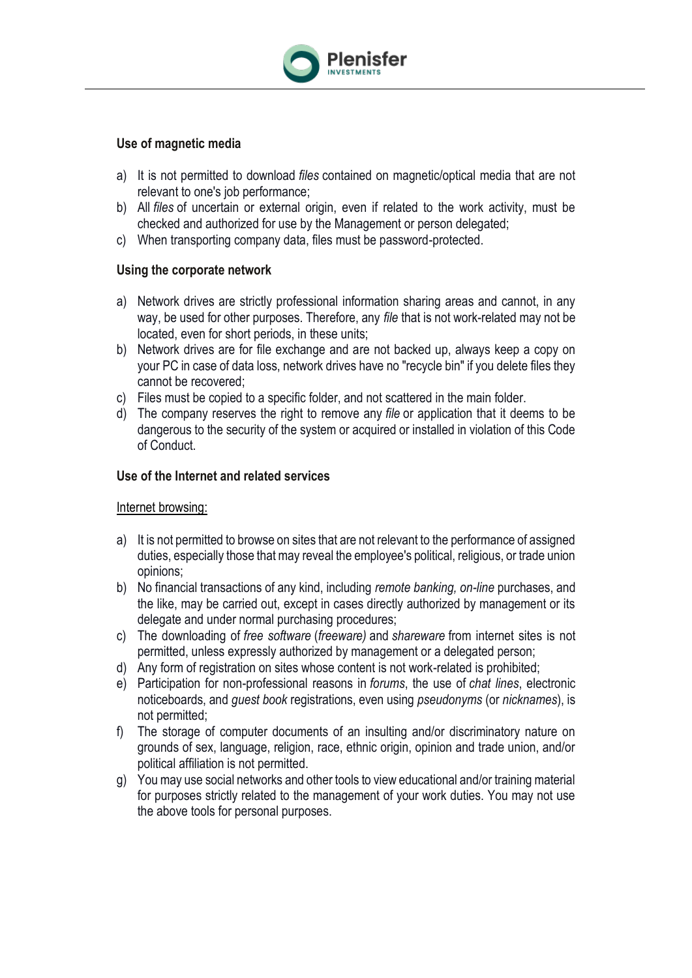

### **Use of magnetic media**

- a) It is not permitted to download *files* contained on magnetic/optical media that are not relevant to one's job performance;
- b) All *files* of uncertain or external origin, even if related to the work activity, must be checked and authorized for use by the Management or person delegated;
- c) When transporting company data, files must be password-protected.

### **Using the corporate network**

- a) Network drives are strictly professional information sharing areas and cannot, in any way, be used for other purposes. Therefore, any *file* that is not work-related may not be located, even for short periods, in these units;
- b) Network drives are for file exchange and are not backed up, always keep a copy on your PC in case of data loss, network drives have no "recycle bin" if you delete files they cannot be recovered;
- c) Files must be copied to a specific folder, and not scattered in the main folder.
- d) The company reserves the right to remove any *file* or application that it deems to be dangerous to the security of the system or acquired or installed in violation of this Code of Conduct.

#### **Use of the Internet and related services**

#### Internet browsing:

- a) It is not permitted to browse on sites that are not relevant to the performance of assigned duties, especially those that may reveal the employee's political, religious, or trade union opinions;
- b) No financial transactions of any kind, including *remote banking, on-line* purchases, and the like, may be carried out, except in cases directly authorized by management or its delegate and under normal purchasing procedures;
- c) The downloading of *free software* (*freeware)* and *shareware* from internet sites is not permitted, unless expressly authorized by management or a delegated person;
- d) Any form of registration on sites whose content is not work-related is prohibited;
- e) Participation for non-professional reasons in *forums*, the use of *chat lines*, electronic noticeboards, and *guest book* registrations, even using *pseudonyms* (or *nicknames*), is not permitted;
- f) The storage of computer documents of an insulting and/or discriminatory nature on grounds of sex, language, religion, race, ethnic origin, opinion and trade union, and/or political affiliation is not permitted.
- g) You may use social networks and other tools to view educational and/or training material for purposes strictly related to the management of your work duties. You may not use the above tools for personal purposes.